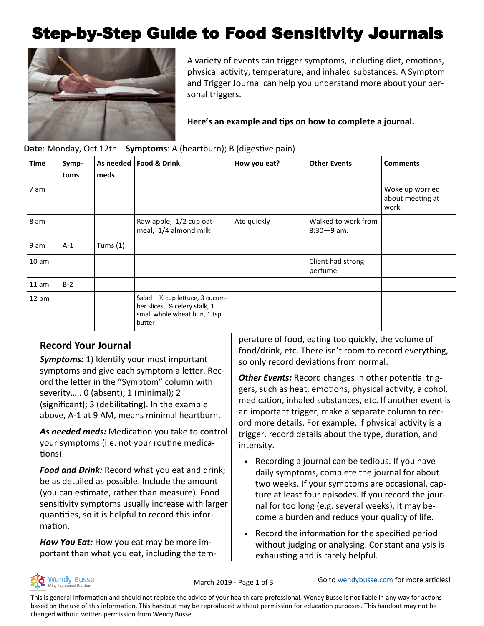# Step-by-Step Guide to Food Sensitivity Journals



A variety of events can trigger symptoms, including diet, emotions, physical activity, temperature, and inhaled substances. A Symptom and Trigger Journal can help you understand more about your personal triggers.

**Here's an example and tips on how to complete a journal.**

| <b>Time</b>      | Symp-<br>toms | meds       | As needed   Food & Drink                                                                                       | How you eat? | <b>Other Events</b>                   | <b>Comments</b>                              |
|------------------|---------------|------------|----------------------------------------------------------------------------------------------------------------|--------------|---------------------------------------|----------------------------------------------|
| 7 am             |               |            |                                                                                                                |              |                                       | Woke up worried<br>about meeting at<br>work. |
| 8 am             |               |            | Raw apple, 1/2 cup oat-<br>meal, 1/4 almond milk                                                               | Ate quickly  | Walked to work from<br>$8:30 - 9$ am. |                                              |
| 9 am             | $A-1$         | Tums $(1)$ |                                                                                                                |              |                                       |                                              |
| 10 <sub>am</sub> |               |            |                                                                                                                |              | Client had strong<br>perfume.         |                                              |
| 11 am            | $B-2$         |            |                                                                                                                |              |                                       |                                              |
| 12 pm            |               |            | Salad - 1/2 cup lettuce, 3 cucum-<br>ber slices, 1/2 celery stalk, 1<br>small whole wheat bun, 1 tsp<br>butter |              |                                       |                                              |

#### **Date**: Monday, Oct 12th **Symptoms**: A (heartburn); B (digestive pain)

## **Record Your Journal**

*Symptoms:* 1) Identify your most important symptoms and give each symptom a letter. Record the letter in the "Symptom" column with severity..... 0 (absent); 1 (minimal); 2 (significant); 3 (debilitating). In the example above, A-1 at 9 AM, means minimal heartburn.

*As needed meds:* Medication you take to control your symptoms (i.e. not your routine medications).

*Food and Drink:* Record what you eat and drink; be as detailed as possible. Include the amount (you can estimate, rather than measure). Food sensitivity symptoms usually increase with larger quantities, so it is helpful to record this information.

*How You Eat:* How you eat may be more important than what you eat, including the temperature of food, eating too quickly, the volume of food/drink, etc. There isn't room to record everything, so only record deviations from normal.

*Other Events:* Record changes in other potential triggers, such as heat, emotions, physical activity, alcohol, medication, inhaled substances, etc. If another event is an important trigger, make a separate column to record more details. For example, if physical activity is a trigger, record details about the type, duration, and intensity.

- Recording a journal can be tedious. If you have daily symptoms, complete the journal for about two weeks. If your symptoms are occasional, capture at least four episodes. If you record the journal for too long (e.g. several weeks), it may become a burden and reduce your quality of life.
- Record the information for the specified period without judging or analysing. Constant analysis is exhausting and is rarely helpful.



March 2019 - Page 1 of 3 Go to [wendybusse.com](http://www.wendybusse.com/) for more articles!

This is general information and should not replace the advice of your health care professional. Wendy Busse is not liable in any way for actions based on the use of this information. This handout may be reproduced without permission for education purposes. This handout may not be changed without written permission from Wendy Busse.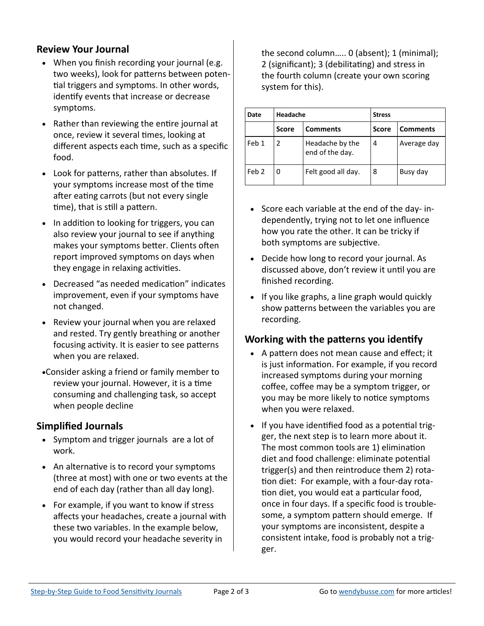### **Review Your Journal**

- When you finish recording your journal (e.g. two weeks), look for patterns between potential triggers and symptoms. In other words, identify events that increase or decrease symptoms.
- Rather than reviewing the entire journal at once, review it several times, looking at different aspects each time, such as a specific food.
- Look for patterns, rather than absolutes. If your symptoms increase most of the time after eating carrots (but not every single time), that is still a pattern.
- In addition to looking for triggers, you can also review your journal to see if anything makes your symptoms better. Clients often report improved symptoms on days when they engage in relaxing activities.
- Decreased "as needed medication" indicates improvement, even if your symptoms have not changed.
- Review your journal when you are relaxed and rested. Try gently breathing or another focusing activity. It is easier to see patterns when you are relaxed.
- •Consider asking a friend or family member to review your journal. However, it is a time consuming and challenging task, so accept when people decline

#### **Simplified Journals**

- Symptom and trigger journals are a lot of work.
- An alternative is to record your symptoms (three at most) with one or two events at the end of each day (rather than all day long).
- For example, if you want to know if stress affects your headaches, create a journal with these two variables. In the example below, you would record your headache severity in

the second column….. 0 (absent); 1 (minimal); 2 (significant); 3 (debilitating) and stress in the fourth column (create your own scoring system for this).

| Date  | Headache     |                                    | <b>Stress</b> |                 |
|-------|--------------|------------------------------------|---------------|-----------------|
|       | <b>Score</b> | <b>Comments</b>                    | Score         | <b>Comments</b> |
| Feb 1 | 2            | Headache by the<br>end of the day. | 4             | Average day     |
| Feb 2 |              | Felt good all day.                 | 8             | Busy day        |

- Score each variable at the end of the day- independently, trying not to let one influence how you rate the other. It can be tricky if both symptoms are subjective.
- Decide how long to record your journal. As discussed above, don't review it until you are finished recording.
- If you like graphs, a line graph would quickly show patterns between the variables you are recording.

#### **Working with the patterns you identify**

- A pattern does not mean cause and effect; it is just information. For example, if you record increased symptoms during your morning coffee, coffee may be a symptom trigger, or you may be more likely to notice symptoms when you were relaxed.
- If you have identified food as a potential trigger, the next step is to learn more about it. The most common tools are 1) elimination diet and food challenge: eliminate potential trigger(s) and then reintroduce them 2) rotation diet: For example, with a four-day rotation diet, you would eat a particular food, once in four days. If a specific food is troublesome, a symptom pattern should emerge. If your symptoms are inconsistent, despite a consistent intake, food is probably not a trigger.